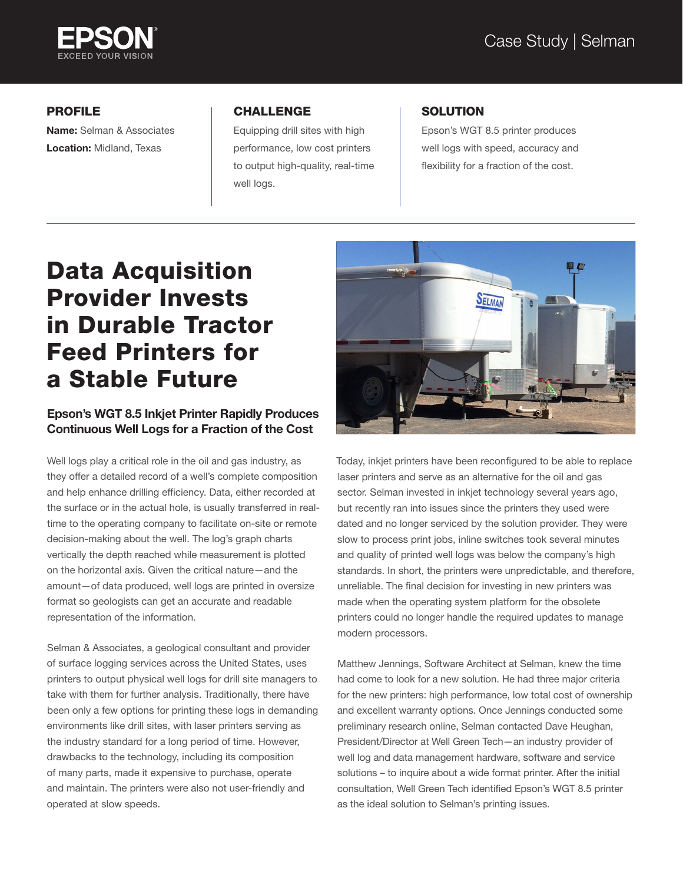

# PROFILE

Name: Selman & Associates Location: Midland, Texas

### CHALLENGE

Equipping drill sites with high performance, low cost printers to output high-quality, real-time well logs.

### **SOLUTION**

Epson's WGT 8.5 printer produces well logs with speed, accuracy and flexibility for a fraction of the cost.

# Data Acquisition Provider Invests in Durable Tractor Feed Printers for a Stable Future

### Epson's WGT 8.5 Inkjet Printer Rapidly Produces Continuous Well Logs for a Fraction of the Cost

Well logs play a critical role in the oil and gas industry, as they offer a detailed record of a well's complete composition and help enhance drilling efficiency. Data, either recorded at the surface or in the actual hole, is usually transferred in realtime to the operating company to facilitate on-site or remote decision-making about the well. The log's graph charts vertically the depth reached while measurement is plotted on the horizontal axis. Given the critical nature—and the amount—of data produced, well logs are printed in oversize format so geologists can get an accurate and readable representation of the information.

Selman & Associates, a geological consultant and provider of surface logging services across the United States, uses printers to output physical well logs for drill site managers to take with them for further analysis. Traditionally, there have been only a few options for printing these logs in demanding environments like drill sites, with laser printers serving as the industry standard for a long period of time. However, drawbacks to the technology, including its composition of many parts, made it expensive to purchase, operate and maintain. The printers were also not user-friendly and operated at slow speeds.



Today, inkjet printers have been reconfigured to be able to replace laser printers and serve as an alternative for the oil and gas sector. Selman invested in inkjet technology several years ago, but recently ran into issues since the printers they used were dated and no longer serviced by the solution provider. They were slow to process print jobs, inline switches took several minutes and quality of printed well logs was below the company's high standards. In short, the printers were unpredictable, and therefore, unreliable. The final decision for investing in new printers was made when the operating system platform for the obsolete printers could no longer handle the required updates to manage modern processors.

Matthew Jennings, Software Architect at Selman, knew the time had come to look for a new solution. He had three major criteria for the new printers: high performance, low total cost of ownership and excellent warranty options. Once Jennings conducted some preliminary research online, Selman contacted Dave Heughan, President/Director at Well Green Tech—an industry provider of well log and data management hardware, software and service solutions – to inquire about a wide format printer. After the initial consultation, Well Green Tech identified Epson's WGT 8.5 printer as the ideal solution to Selman's printing issues.